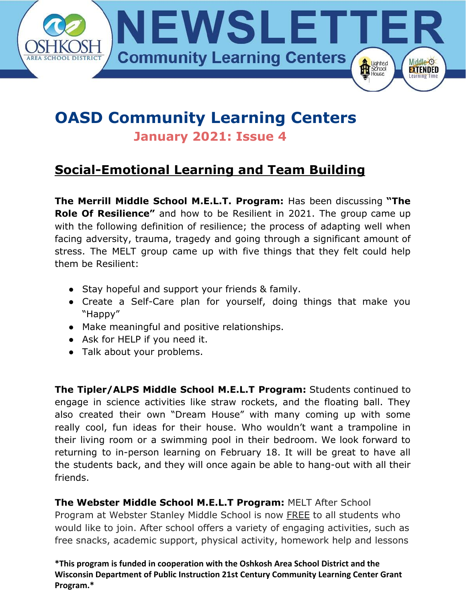

# **OASD Community Learning Centers**

**January 2021: Issue 4**

### **Social-Emotional Learning and Team Building**

**The Merrill Middle School M.E.L.T. Program:** Has been discussing **"The Role Of Resilience"** and how to be Resilient in 2021. The group came up with the following definition of resilience; the process of adapting well when facing adversity, trauma, tragedy and going through a significant amount of stress. The MELT group came up with five things that they felt could help them be Resilient:

- Stay hopeful and support your friends & family.
- Create a Self-Care plan for yourself, doing things that make you "Happy"
- Make meaningful and positive relationships.
- Ask for HELP if you need it.
- Talk about your problems.

**The Tipler/ALPS Middle School M.E.L.T Program:** Students continued to engage in science activities like straw rockets, and the floating ball. They also created their own "Dream House" with many coming up with some really cool, fun ideas for their house. Who wouldn't want a trampoline in their living room or a swimming pool in their bedroom. We look forward to returning to in-person learning on February 18. It will be great to have all the students back, and they will once again be able to hang-out with all their friends.

**The Webster Middle School M.E.L.T Program:** MELT After School Program at Webster Stanley Middle School is now FREE to all students who would like to join. After school offers a variety of engaging activities, such as free snacks, academic support, physical activity, homework help and lessons

**\*This program is funded in cooperation with the Oshkosh Area School District and the Wisconsin Department of Public Instruction 21st Century Community Learning Center Grant Program.\***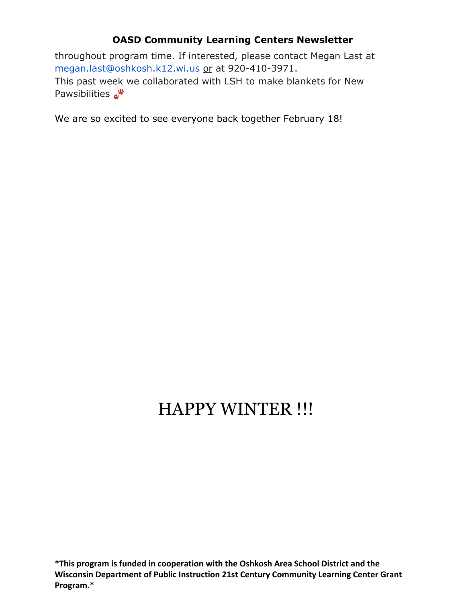#### **OASD Community Learning Centers Newsletter**

throughout program time. If interested, please contact Megan Last at megan.last@oshkosh.k12.wi.us or at 920-410-3971. This past week we collaborated with LSH to make blankets for New **Pawsibilities** 

We are so excited to see everyone back together February 18!

## HAPPY WINTER !!!

**\*This program is funded in cooperation with the Oshkosh Area School District and the Wisconsin Department of Public Instruction 21st Century Community Learning Center Grant Program.\***